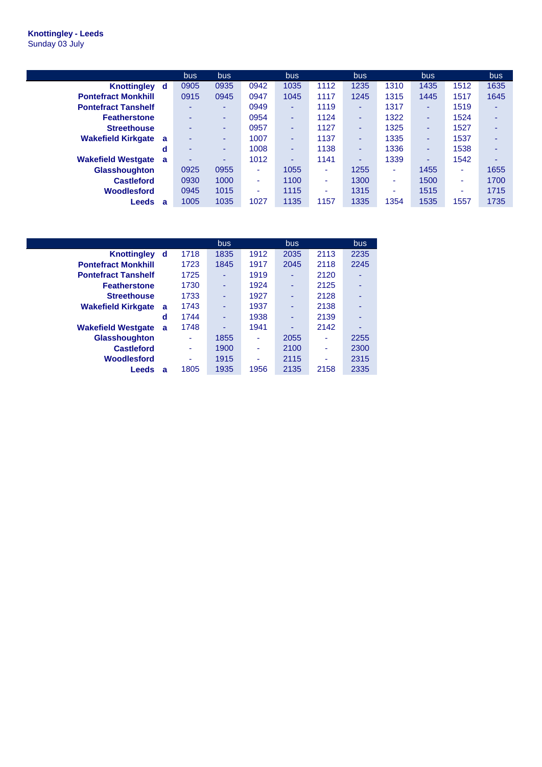## **Knottingley - Leeds** Sunday 03 July

|                                | bus. | bus    |      | <b>bus</b>               |      | bus  |      | bus  |      | <b>bus</b> |
|--------------------------------|------|--------|------|--------------------------|------|------|------|------|------|------------|
| <b>Knottingley</b><br>d        | 0905 | 0935   | 0942 | 1035                     | 1112 | 1235 | 1310 | 1435 | 1512 | 1635       |
| <b>Pontefract Monkhill</b>     | 0915 | 0945   | 0947 | 1045                     | 1117 | 1245 | 1315 | 1445 | 1517 | 1645       |
| <b>Pontefract Tanshelf</b>     | ۰    | ۰.     | 0949 | $\overline{\phantom{a}}$ | 1119 | ۰    | 1317 | ۰    | 1519 | ۰          |
| <b>Featherstone</b>            | ۰    | ۰.     | 0954 | $\overline{\phantom{a}}$ | 1124 | ۰    | 1322 | ۰    | 1524 | ۰          |
| <b>Streethouse</b>             | ۰    | ۰.     | 0957 | $\overline{\phantom{a}}$ | 1127 | ٠    | 1325 | -    | 1527 | ۰          |
| <b>Wakefield Kirkgate</b><br>a | ۰    | $\sim$ | 1007 | $\overline{\phantom{a}}$ | 1137 | ٠    | 1335 | ۰    | 1537 | ۰          |
| d                              | ۰    | ۰.     | 1008 | $\sim$                   | 1138 | ٠    | 1336 | ۰    | 1538 | ٠          |
| <b>Wakefield Westgate</b><br>a | ۰    | -      | 1012 | -                        | 1141 | ۰    | 1339 | ۰    | 1542 | ۰          |
| <b>Glasshoughton</b>           | 0925 | 0955   | ٠    | 1055                     | ۰.   | 1255 | ۰.   | 1455 | ٠    | 1655       |
| <b>Castleford</b>              | 0930 | 1000   | ۰    | 1100                     | ۰.   | 1300 | ۰.   | 1500 | ٠    | 1700       |
| Woodlesford                    | 0945 | 1015   | ۰    | 1115                     | ۰    | 1315 | ۰    | 1515 | ۰    | 1715       |
| Leeds<br>a                     | 1005 | 1035   | 1027 | 1135                     | 1157 | 1335 | 1354 | 1535 | 1557 | 1735       |

|                            |   |      | bus. |      | <b>bus</b> |      | bus. |
|----------------------------|---|------|------|------|------------|------|------|
| <b>Knottingley</b>         | d | 1718 | 1835 | 1912 | 2035       | 2113 | 2235 |
| <b>Pontefract Monkhill</b> |   | 1723 | 1845 | 1917 | 2045       | 2118 | 2245 |
| <b>Pontefract Tanshelf</b> |   | 1725 | ۰    | 1919 |            | 2120 |      |
| <b>Featherstone</b>        |   | 1730 | ۰    | 1924 | ۰          | 2125 |      |
| <b>Streethouse</b>         |   | 1733 |      | 1927 |            | 2128 |      |
| <b>Wakefield Kirkgate</b>  | a | 1743 |      | 1937 | ۰          | 2138 |      |
|                            | d | 1744 |      | 1938 |            | 2139 |      |
| <b>Wakefield Westgate</b>  | a | 1748 |      | 1941 |            | 2142 |      |
| <b>Glasshoughton</b>       |   |      | 1855 | ۰    | 2055       | ۰    | 2255 |
| <b>Castleford</b>          |   |      | 1900 |      | 2100       |      | 2300 |
| Woodlesford                |   |      | 1915 |      | 2115       | ۰    | 2315 |
| Leeds                      | a | 1805 | 1935 | 1956 | 2135       | 2158 | 2335 |